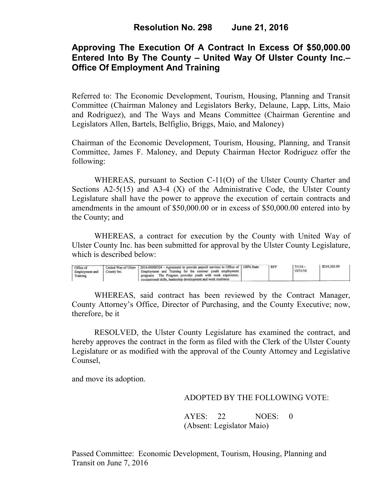# **Approving The Execution Of A Contract In Excess Of \$50,000.00 Entered Into By The County – United Way Of Ulster County Inc.– Office Of Employment And Training**

Referred to: The Economic Development, Tourism, Housing, Planning and Transit Committee (Chairman Maloney and Legislators Berky, Delaune, Lapp, Litts, Maio and Rodriguez), and The Ways and Means Committee (Chairman Gerentine and Legislators Allen, Bartels, Belfiglio, Briggs, Maio, and Maloney)

Chairman of the Economic Development, Tourism, Housing, Planning, and Transit Committee, James F. Maloney, and Deputy Chairman Hector Rodriguez offer the following:

WHEREAS, pursuant to Section C-11(O) of the Ulster County Charter and Sections  $A2-5(15)$  and  $A3-4(X)$  of the Administrative Code, the Ulster County Legislature shall have the power to approve the execution of certain contracts and amendments in the amount of \$50,000.00 or in excess of \$50,000.00 entered into by the County; and

 WHEREAS, a contract for execution by the County with United Way of Ulster County Inc. has been submitted for approval by the Ulster County Legislature, which is described below:

| United Way of Ulster   2016-00000324 - Agreement to provide payroll services to Office of   100% State<br>Office of<br>Employment and Training for the summer youth employment<br>County Inc.<br>Employment and<br>The Program provides youth with work experience,<br>Training<br>programs<br>occupational skills, leadership development and work readiness |  | RFP | $7/1/16$ -<br>10/31/16 | \$210,362.00 |  |
|---------------------------------------------------------------------------------------------------------------------------------------------------------------------------------------------------------------------------------------------------------------------------------------------------------------------------------------------------------------|--|-----|------------------------|--------------|--|
|---------------------------------------------------------------------------------------------------------------------------------------------------------------------------------------------------------------------------------------------------------------------------------------------------------------------------------------------------------------|--|-----|------------------------|--------------|--|

WHEREAS, said contract has been reviewed by the Contract Manager, County Attorney's Office, Director of Purchasing, and the County Executive; now, therefore, be it

RESOLVED, the Ulster County Legislature has examined the contract, and hereby approves the contract in the form as filed with the Clerk of the Ulster County Legislature or as modified with the approval of the County Attorney and Legislative Counsel,

and move its adoption.

### ADOPTED BY THE FOLLOWING VOTE:

AYES: 22 NOES: 0 (Absent: Legislator Maio)

Passed Committee: Economic Development, Tourism, Housing, Planning and Transit on June 7, 2016